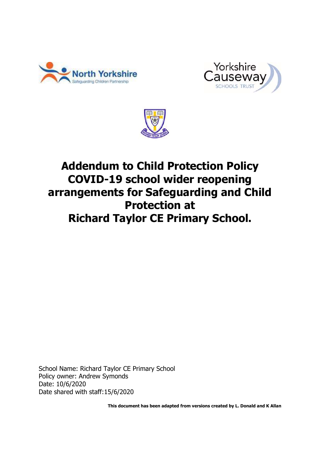





# **Addendum to Child Protection Policy COVID-19 school wider reopening arrangements for Safeguarding and Child Protection at Richard Taylor CE Primary School.**

School Name: Richard Taylor CE Primary School Policy owner: Andrew Symonds Date: 10/6/2020 Date shared with staff:15/6/2020

**This document has been adapted from versions created by L. Donald and K Allan**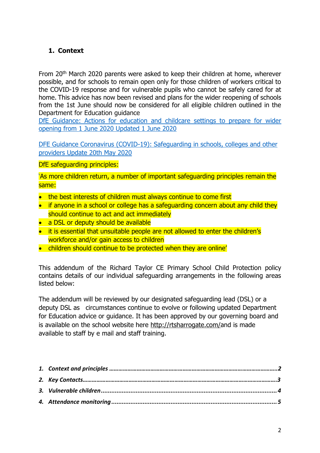# <span id="page-1-0"></span>**1. Context**

From 20<sup>th</sup> March 2020 parents were asked to keep their children at home, wherever possible, and for schools to remain open only for those children of workers critical to the COVID-19 response and for vulnerable pupils who cannot be safely cared for at home. This advice has now been revised and plans for the wider reopening of schools from the 1st June should now be considered for all eligible children outlined in the Department for Education guidance

[DfE Guidance: Actions for education and childcare settings to prepare for wider](https://www.gov.uk/government/publications/actions-for-educational-and-childcare-settings-to-prepare-for-wider-opening-from-1-june-2020/actions-for-education-and-childcare-settings-to-prepare-for-wider-opening-from-1-june-2020)  [opening from 1 June 2020 Updated 1 June 2020](https://www.gov.uk/government/publications/actions-for-educational-and-childcare-settings-to-prepare-for-wider-opening-from-1-june-2020/actions-for-education-and-childcare-settings-to-prepare-for-wider-opening-from-1-june-2020)

DFE Guidance Coronavirus (COVID-19): [Safeguarding in schools, colleges and other](https://www.gov.uk/government/publications/covid-19-safeguarding-in-schools-colleges-and-other-providers/coronavirus-covid-19-safeguarding-in-schools-colleges-and-other-providers)  [providers Update 20th May 2020](https://www.gov.uk/government/publications/covid-19-safeguarding-in-schools-colleges-and-other-providers/coronavirus-covid-19-safeguarding-in-schools-colleges-and-other-providers)

DfE safeguarding principles:

'As more children return, a number of important safeguarding principles remain the same:

- the best interests of children must always continue to come first
- if anyone in a school or college has a safeguarding concern about any child they should continue to act and act immediately
- a DSL or deputy should be available
- it is essential that unsuitable people are not allowed to enter the children's workforce and/or gain access to children
- children should continue to be protected when they are online'

This addendum of the Richard Taylor CE Primary School Child Protection policy contains details of our individual safeguarding arrangements in the following areas listed below:

The addendum will be reviewed by our designated safeguarding lead (DSL) or a deputy DSL as circumstances continue to evolve or following updated Department for Education advice or guidance. It has been approved by our governing board and is available on the school website here [http://rtsharrogate.com/a](http://rtsharrogate.com/)nd is made available to staff by e mail and staff training.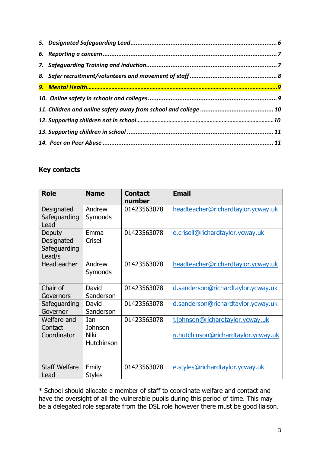# **Key contacts**

| <b>Role</b>                                    | <b>Name</b>                          | <b>Contact</b><br>number | <b>Email</b>                                                            |
|------------------------------------------------|--------------------------------------|--------------------------|-------------------------------------------------------------------------|
| Designated<br>Safeguarding<br>Lead             | Andrew<br>Symonds                    | 01423563078              | headteacher@richardtaylor.ycway.uk                                      |
| Deputy<br>Designated<br>Safeguarding<br>Lead/s | Emma<br>Crisell                      | 01423563078              | e.crisell@richardtaylor.ycway.uk                                        |
| Headteacher                                    | Andrew<br>Symonds                    | 01423563078              | headteacher@richardtaylor.ycway.uk                                      |
| Chair of<br>Governors                          | David<br>Sanderson                   | 01423563078              | d.sanderson@richardtaylor.ycway.uk                                      |
| Safeguarding<br>Governor                       | David<br>Sanderson                   | 01423563078              | d.sanderson@richardtaylor.ycway.uk                                      |
| Welfare and<br>Contact<br>Coordinator          | Jan<br>Johnson<br>Niki<br>Hutchinson | 01423563078              | j.johnson@richardtaylor.ycway.uk<br>n.hutchinson@richardtaylor.ycway.uk |
| <b>Staff Welfare</b><br>Lead                   | Emily<br><b>Styles</b>               | 01423563078              | e.styles@richardtaylor.ycway.uk                                         |

\* School should allocate a member of staff to coordinate welfare and contact and have the oversight of all the vulnerable pupils during this period of time. This may be a delegated role separate from the DSL role however there must be good liaison.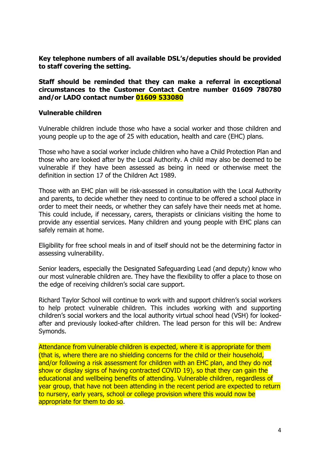**Key telephone numbers of all available DSL's/deputies should be provided to staff covering the setting.**

**Staff should be reminded that they can make a referral in exceptional circumstances to the Customer Contact Centre number 01609 780780 and/or LADO contact number 01609 533080**

#### <span id="page-3-0"></span>**Vulnerable children**

Vulnerable children include those who have a social worker and those children and young people up to the age of 25 with education, health and care (EHC) plans.

Those who have a social worker include children who have a Child Protection Plan and those who are looked after by the Local Authority. A child may also be deemed to be vulnerable if they have been assessed as being in need or otherwise meet the definition in section 17 of the Children Act 1989.

Those with an EHC plan will be risk-assessed in consultation with the Local Authority and parents, to decide whether they need to continue to be offered a school place in order to meet their needs, or whether they can safely have their needs met at home. This could include, if necessary, carers, therapists or clinicians visiting the home to provide any essential services. Many children and young people with EHC plans can safely remain at home.

Eligibility for free school meals in and of itself should not be the determining factor in assessing vulnerability.

Senior leaders, especially the Designated Safeguarding Lead (and deputy) know who our most vulnerable children are. They have the flexibility to offer a place to those on the edge of receiving children's social care support.

Richard Taylor School will continue to work with and support children's social workers to help protect vulnerable children. This includes working with and supporting children's social workers and the local authority virtual school head (VSH) for lookedafter and previously looked-after children. The lead person for this will be: Andrew Symonds.

Attendance from Vulnerable children is expected, where it is appropriate for them (that is, where there are no shielding concerns for the child or their household, and/or following a risk assessment for children with an EHC plan, and they do not show or display signs of having contracted COVID 19), so that they can gain the educational and wellbeing benefits of attending. Vulnerable children, regardless of year group, that have not been attending in the recent period are expected to return to nursery, early years, school or college provision where this would now be appropriate for them to do so.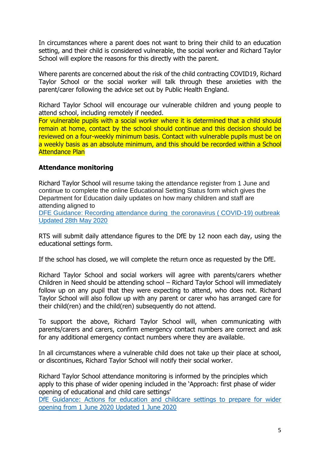In circumstances where a parent does not want to bring their child to an education setting, and their child is considered vulnerable, the social worker and Richard Taylor School will explore the reasons for this directly with the parent.

Where parents are concerned about the risk of the child contracting COVID19, Richard Taylor School or the social worker will talk through these anxieties with the parent/carer following the advice set out by Public Health England.

Richard Taylor School will encourage our vulnerable children and young people to attend school, including remotely if needed.

For vulnerable pupils with a social worker where it is determined that a child should remain at home, contact by the school should continue and this decision should be reviewed on a four-weekly minimum basis. Contact with vulnerable pupils must be on a weekly basis as an absolute minimum, and this should be recorded within a School Attendance Plan

## <span id="page-4-0"></span>**Attendance monitoring**

Richard Taylor School will resume taking the attendance register from 1 June and continue to complete the online Educational Setting Status form which gives the Department for Education daily updates on how many children and staff are attending aligned to

[DFE Guidance: Recording attendance during the coronavirus \( COVID-19\) outbreak](https://www.gov.uk/government/publications/coronavirus-covid-19-attendance-recording-for-educational-settings)  [Updated 28th May 2020](https://www.gov.uk/government/publications/coronavirus-covid-19-attendance-recording-for-educational-settings)

RTS will submit daily attendance figures to the DfE by 12 noon each day, using the educational settings form.

If the school has closed, we will complete the return once as requested by the DfE.

Richard Taylor School and social workers will agree with parents/carers whether Children in Need should be attending school – Richard Taylor School will immediately follow up on any pupil that they were expecting to attend, who does not. Richard Taylor School will also follow up with any parent or carer who has arranged care for their child(ren) and the child(ren) subsequently do not attend.

To support the above, Richard Taylor School will, when communicating with parents/carers and carers, confirm emergency contact numbers are correct and ask for any additional emergency contact numbers where they are available.

In all circumstances where a vulnerable child does not take up their place at school, or discontinues, Richard Taylor School will notify their social worker.

Richard Taylor School attendance monitoring is informed by the principles which apply to this phase of wider opening included in the 'Approach: first phase of wider opening of educational and child care settings'

[DfE Guidance: Actions for education and childcare settings to prepare for wider](https://www.gov.uk/government/publications/actions-for-educational-and-childcare-settings-to-prepare-for-wider-opening-from-1-june-2020/actions-for-education-and-childcare-settings-to-prepare-for-wider-opening-from-1-june-2020)  [opening from 1 June 2020 Updated 1 June 2020](https://www.gov.uk/government/publications/actions-for-educational-and-childcare-settings-to-prepare-for-wider-opening-from-1-june-2020/actions-for-education-and-childcare-settings-to-prepare-for-wider-opening-from-1-june-2020)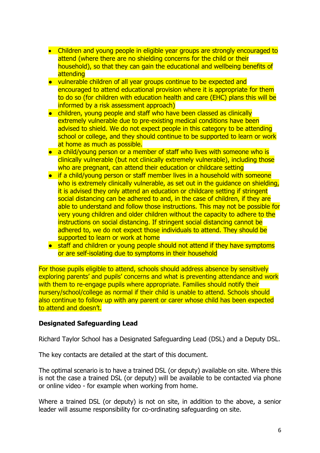- Children and young people in eligible year groups are strongly encouraged to attend (where there are no shielding concerns for the child or their household), so that they can gain the educational and wellbeing benefits of attending
- vulnerable children of all year groups continue to be expected and encouraged to attend educational provision where it is appropriate for them to do so (for children with education health and care (EHC) plans this will be informed by a risk assessment approach)
- children, young people and staff who have been classed as clinically extremely vulnerable due to pre-existing medical conditions have been advised to shield. We do not expect people in this category to be attending school or college, and they should continue to be supported to learn or work at home as much as possible.
- a child/young person or a member of staff who lives with someone who is clinically vulnerable (but not clinically extremely vulnerable), including those who are pregnant, can attend their education or childcare setting
- if a child/young person or staff member lives in a household with someone who is extremely clinically vulnerable, as set out in the quidance on shielding, it is advised they only attend an education or childcare setting if stringent social distancing can be adhered to and, in the case of children, if they are able to understand and follow those instructions. This may not be possible for very young children and older children without the capacity to adhere to the instructions on social distancing. If stringent social distancing cannot be adhered to, we do not expect those individuals to attend. They should be supported to learn or work at home
- staff and children or young people should not attend if they have symptoms or are self-isolating due to symptoms in their household

For those pupils eligible to attend, schools should address absence by sensitively exploring parents' and pupils' concerns and what is preventing attendance and work with them to re-engage pupils where appropriate. Families should notify their nursery/school/college as normal if their child is unable to attend. Schools should also continue to follow up with any parent or carer whose child has been expected to attend and doesn't.

## <span id="page-5-0"></span>**Designated Safeguarding Lead**

Richard Taylor School has a Designated Safeguarding Lead (DSL) and a Deputy DSL.

The key contacts are detailed at the start of this document.

The optimal scenario is to have a trained DSL (or deputy) available on site. Where this is not the case a trained DSL (or deputy) will be available to be contacted via phone or online video - for example when working from home.

Where a trained DSL (or deputy) is not on site, in addition to the above, a senior leader will assume responsibility for co-ordinating safeguarding on site.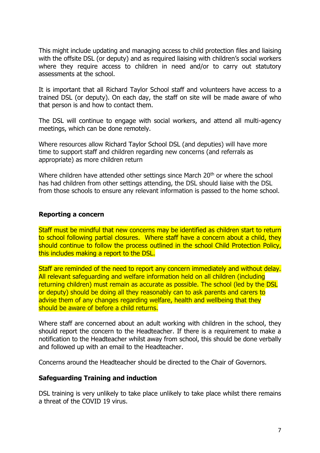This might include updating and managing access to child protection files and liaising with the offsite DSL (or deputy) and as required liaising with children's social workers where they require access to children in need and/or to carry out statutory assessments at the school.

It is important that all Richard Taylor School staff and volunteers have access to a trained DSL (or deputy). On each day, the staff on site will be made aware of who that person is and how to contact them.

The DSL will continue to engage with social workers, and attend all multi-agency meetings, which can be done remotely.

Where resources allow Richard Taylor School DSL (and deputies) will have more time to support staff and children regarding new concerns (and referrals as appropriate) as more children return

Where children have attended other settings since March 20<sup>th</sup> or where the school has had children from other settings attending, the DSL should liaise with the DSL from those schools to ensure any relevant information is passed to the home school.

#### <span id="page-6-0"></span>**Reporting a concern**

Staff must be mindful that new concerns may be identified as children start to return to school following partial closures. Where staff have a concern about a child, they should continue to follow the process outlined in the school Child Protection Policy, this includes making a report to the DSL.

Staff are reminded of the need to report any concern immediately and without delay. All relevant safeguarding and welfare information held on all children (including returning children) must remain as accurate as possible. The school (led by the DSL or deputy) should be doing all they reasonably can to ask parents and carers to advise them of any changes regarding welfare, health and wellbeing that they should be aware of before a child returns.

Where staff are concerned about an adult working with children in the school, they should report the concern to the Headteacher. If there is a requirement to make a notification to the Headteacher whilst away from school, this should be done verbally and followed up with an email to the Headteacher.

Concerns around the Headteacher should be directed to the Chair of Governors.

#### <span id="page-6-1"></span>**Safeguarding Training and induction**

DSL training is very unlikely to take place unlikely to take place whilst there remains a threat of the COVID 19 virus.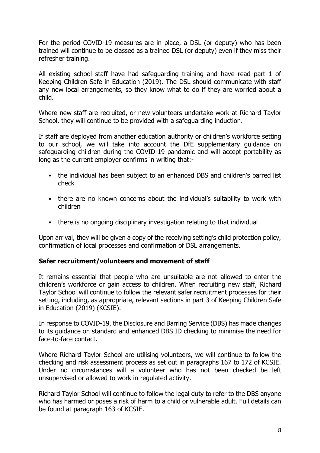For the period COVID-19 measures are in place, a DSL (or deputy) who has been trained will continue to be classed as a trained DSL (or deputy) even if they miss their refresher training.

All existing school staff have had safeguarding training and have read part 1 of Keeping Children Safe in Education (2019). The DSL should communicate with staff any new local arrangements, so they know what to do if they are worried about a child.

Where new staff are recruited, or new volunteers undertake work at Richard Taylor School, they will continue to be provided with a safeguarding induction.

If staff are deployed from another education authority or children's workforce setting to our school, we will take into account the DfE supplementary guidance on safeguarding children during the COVID-19 pandemic and will accept portability as long as the current employer confirms in writing that:-

- the individual has been subject to an enhanced DBS and children's barred list check
- there are no known concerns about the individual's suitability to work with children
- there is no ongoing disciplinary investigation relating to that individual

Upon arrival, they will be given a copy of the receiving setting's child protection policy, confirmation of local processes and confirmation of DSL arrangements.

## <span id="page-7-0"></span>**Safer recruitment/volunteers and movement of staff**

It remains essential that people who are unsuitable are not allowed to enter the children's workforce or gain access to children. When recruiting new staff, Richard Taylor School will continue to follow the relevant safer recruitment processes for their setting, including, as appropriate, relevant sections in part 3 of Keeping Children Safe in Education (2019) (KCSIE).

In response to COVID-19, the Disclosure and Barring Service (DBS) has made changes to its guidance on standard and enhanced DBS ID checking to minimise the need for face-to-face contact.

Where Richard Taylor School are utilising volunteers, we will continue to follow the checking and risk assessment process as set out in paragraphs 167 to 172 of KCSIE. Under no circumstances will a volunteer who has not been checked be left unsupervised or allowed to work in regulated activity.

Richard Taylor School will continue to follow the legal duty to refer to the DBS anyone who has harmed or poses a risk of harm to a child or vulnerable adult. Full details can be found at paragraph 163 of KCSIE.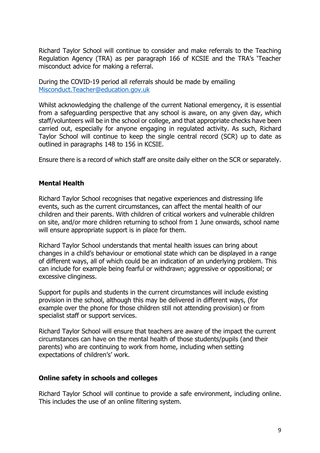Richard Taylor School will continue to consider and make referrals to the Teaching Regulation Agency (TRA) as per paragraph 166 of KCSIE and the TRA's 'Teacher misconduct advice for making a referral.

During the COVID-19 period all referrals should be made by emailing [Misconduct.Teacher@education.gov.uk](mailto:Misconduct.Teacher@education.gov.uk)

Whilst acknowledging the challenge of the current National emergency, it is essential from a safeguarding perspective that any school is aware, on any given day, which staff/volunteers will be in the school or college, and that appropriate checks have been carried out, especially for anyone engaging in regulated activity. As such, Richard Taylor School will continue to keep the single central record (SCR) up to date as outlined in paragraphs 148 to 156 in KCSIE.

Ensure there is a record of which staff are onsite daily either on the SCR or separately.

## **Mental Health**

Richard Taylor School recognises that negative experiences and distressing life events, such as the current circumstances, can affect the mental health of our children and their parents. With children of critical workers and vulnerable children on site, and/or more children returning to school from 1 June onwards, school name will ensure appropriate support is in place for them.

Richard Taylor School understands that mental health issues can bring about changes in a child's behaviour or emotional state which can be displayed in a range of different ways, all of which could be an indication of an underlying problem. This can include for example being fearful or withdrawn; aggressive or oppositional; or excessive clinginess.

Support for pupils and students in the current circumstances will include existing provision in the school, although this may be delivered in different ways, (for example over the phone for those children still not attending provision) or from specialist staff or support services.

Richard Taylor School will ensure that teachers are aware of the impact the current circumstances can have on the mental health of those students/pupils (and their parents) who are continuing to work from home, including when setting expectations of children's' work.

#### <span id="page-8-0"></span>**Online safety in schools and colleges**

Richard Taylor School will continue to provide a safe environment, including online. This includes the use of an online filtering system.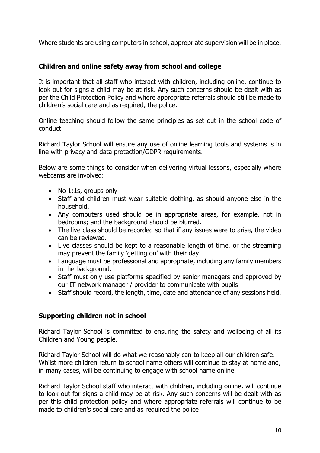Where students are using computers in school, appropriate supervision will be in place.

# <span id="page-9-0"></span>**Children and online safety away from school and college**

It is important that all staff who interact with children, including online, continue to look out for signs a child may be at risk. Any such concerns should be dealt with as per the Child Protection Policy and where appropriate referrals should still be made to children's social care and as required, the police.

Online teaching should follow the same principles as set out in the school code of conduct.

Richard Taylor School will ensure any use of online learning tools and systems is in line with privacy and data protection/GDPR requirements.

Below are some things to consider when delivering virtual lessons, especially where webcams are involved:

- No 1:1s, groups only
- Staff and children must wear suitable clothing, as should anyone else in the household.
- Any computers used should be in appropriate areas, for example, not in bedrooms; and the background should be blurred.
- The live class should be recorded so that if any issues were to arise, the video can be reviewed.
- Live classes should be kept to a reasonable length of time, or the streaming may prevent the family 'getting on' with their day.
- Language must be professional and appropriate, including any family members in the background.
- Staff must only use platforms specified by senior managers and approved by our IT network manager / provider to communicate with pupils
- Staff should record, the length, time, date and attendance of any sessions held.

# **Supporting children not in school**

Richard Taylor School is committed to ensuring the safety and wellbeing of all its Children and Young people.

Richard Taylor School will do what we reasonably can to keep all our children safe. Whilst more children return to school name others will continue to stay at home and, in many cases, will be continuing to engage with school name online.

Richard Taylor School staff who interact with children, including online, will continue to look out for signs a child may be at risk. Any such concerns will be dealt with as per this child protection policy and where appropriate referrals will continue to be made to children's social care and as required the police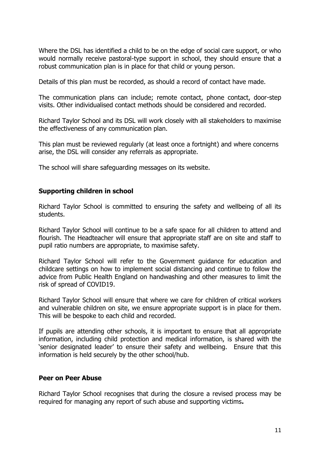Where the DSL has identified a child to be on the edge of social care support, or who would normally receive pastoral-type support in school, they should ensure that a robust communication plan is in place for that child or young person.

Details of this plan must be recorded, as should a record of contact have made.

The communication plans can include; remote contact, phone contact, door-step visits. Other individualised contact methods should be considered and recorded.

Richard Taylor School and its DSL will work closely with all stakeholders to maximise the effectiveness of any communication plan.

This plan must be reviewed regularly (at least once a fortnight) and where concerns arise, the DSL will consider any referrals as appropriate.

The school will share safeguarding messages on its website.

## <span id="page-10-0"></span>**Supporting children in school**

Richard Taylor School is committed to ensuring the safety and wellbeing of all its students.

Richard Taylor School will continue to be a safe space for all children to attend and flourish. The Headteacher will ensure that appropriate staff are on site and staff to pupil ratio numbers are appropriate, to maximise safety.

Richard Taylor School will refer to the Government guidance for education and childcare settings on how to implement social distancing and continue to follow the advice from Public Health England on handwashing and other measures to limit the risk of spread of COVID19.

Richard Taylor School will ensure that where we care for children of critical workers and vulnerable children on site, we ensure appropriate support is in place for them. This will be bespoke to each child and recorded.

If pupils are attending other schools, it is important to ensure that all appropriate information, including child protection and medical information, is shared with the 'senior designated leader' to ensure their safety and wellbeing. Ensure that this information is held securely by the other school/hub.

## <span id="page-10-1"></span>**Peer on Peer Abuse**

Richard Taylor School recognises that during the closure a revised process may be required for managing any report of such abuse and supporting victims**.**